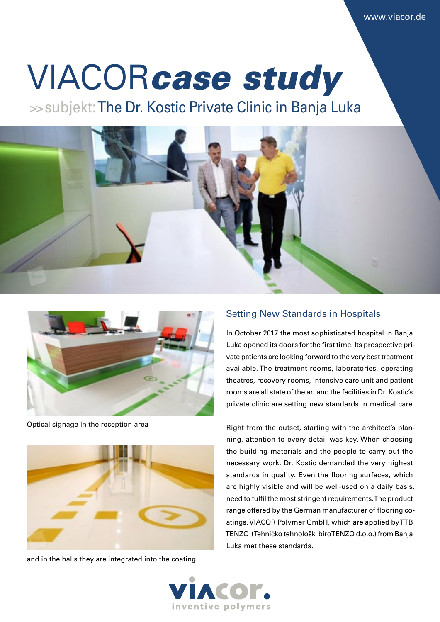# VIACOR*case study*

>> subjekt: The Dr. Kostic Private Clinic in Banja Luka





Optical signage in the reception area



and in the halls they are integrated into the coating.

#### Setting New Standards in Hospitals

In October 2017 the most sophisticated hospital in Banja Luka opened its doors for the first time. Its prospective private patients are looking forward to the very best treatment available. The treatment rooms, laboratories, operating theatres, recovery rooms, intensive care unit and patient rooms are all state of the art and the facilities in Dr. Kostic's private clinic are setting new standards in medical care.

Right from the outset, starting with the architect's planning, attention to every detail was key. When choosing the building materials and the people to carry out the necessary work, Dr. Kostic demanded the very highest standards in quality. Even the flooring surfaces, which are highly visible and will be well-used on a daily basis, need to fulfil the most stringent requirements. The product range offered by the German manufacturer of flooring coatings, VIACOR Polymer GmbH, which are applied by TTB TENZO (Tehničko tehnološki biro TENZO d.o.o.) from Banja Luka met these standards.

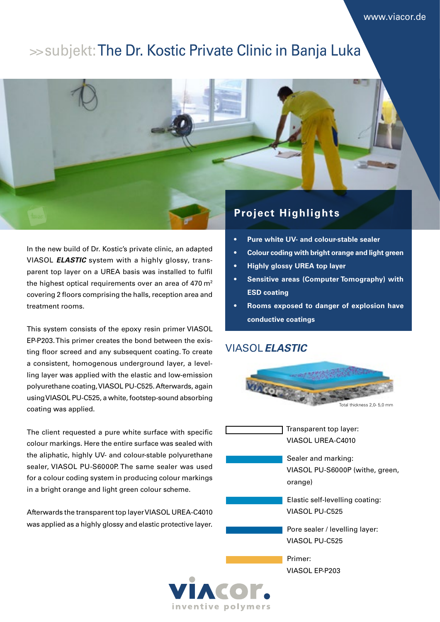# >> subjekt: The Dr. Kostic Private Clinic in Banja Luka



In the new build of Dr. Kostic's private clinic, an adapted VIASOL *ELASTIC* system with a highly glossy, transparent top layer on a UREA basis was installed to fulfil the highest optical requirements over an area of 470  $m<sup>2</sup>$ covering 2 floors comprising the halls, reception area and treatment rooms.

This system consists of the epoxy resin primer VIASOL EP-P203. This primer creates the bond between the existing floor screed and any subsequent coating. To create a consistent, homogenous underground layer, a levelling layer was applied with the elastic and low-emission polyurethane coating, VIASOL PU-C525. Afterwards, again using VIASOL PU-C525, a white, footstep-sound absorbing coating was applied.

The client requested a pure white surface with specific colour markings. Here the entire surface was sealed with the aliphatic, highly UV- and colour-stable polyurethane sealer, VIASOL PU-S6000P. The same sealer was used for a colour coding system in producing colour markings in a bright orange and light green colour scheme.

Afterwards the transparent top layer VIASOL UREA-C4010 was applied as a highly glossy and elastic protective layer.

- **• Pure white UV- and colour-stable sealer**
- **• Colour coding with bright orange and light green**
- **• Highly glossy UREA top layer**
- **• Sensitive areas (Computer Tomography) with ESD coating**
- **• Rooms exposed to danger of explosion have conductive coatings**

## VIASOL *ELASTIC*



Transparent top layer: VIASOL UREA-C4010

Sealer and marking: VIASOL PU-S6000P (withe, green, orange)

Elastic self-levelling coating: VIASOL PU-C525

Pore sealer / levelling layer: VIASOL PU-C525

Primer: VIASOL EP-P203

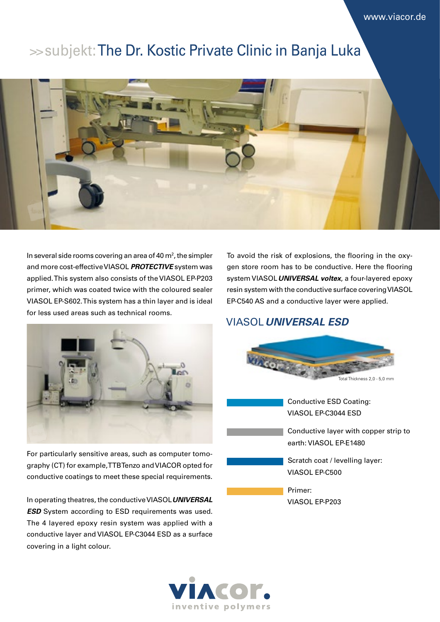## >> subjekt: The Dr. Kostic Private Clinic in Banja Luka



In several side rooms covering an area of 40  $m<sup>2</sup>$ , the simpler and more cost-effective VIASOL *PROTECTIVE* system was applied. This system also consists of the VIASOL EP-P203 primer, which was coated twice with the coloured sealer VIASOL EP-S602. This system has a thin layer and is ideal for less used areas such as technical rooms.

To avoid the risk of explosions, the flooring in the oxygen store room has to be conductive. Here the flooring system VIASOL *UNIVERSAL voltex*, a four-layered epoxy resin system with the conductive surface covering VIASOL EP-C540 AS and a conductive layer were applied.

### VIASOL *UNIVERSAL ESD*



For particularly sensitive areas, such as computer tomography (CT) for example, TTB Tenzo and VIACOR opted for conductive coatings to meet these special requirements.

In operating theatres, the conductive VIASOL *UNIVERSAL ESD* System according to ESD requirements was used. The 4 layered epoxy resin system was applied with a conductive layer and VIASOL EP-C3044 ESD as a surface covering in a light colour.



Conductive layer with copper strip to earth: VIASOL EP-E1480

Scratch coat / levelling layer: VIASOL EP-C500

Primer: VIASOL EP-P203